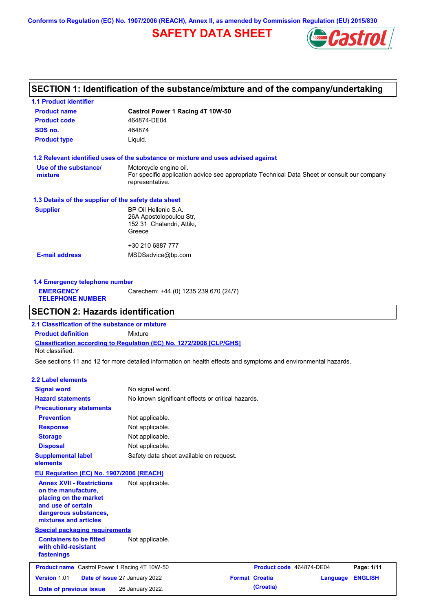**Conforms to Regulation (EC) No. 1907/2006 (REACH), Annex II, as amended by Commission Regulation (EU) 2015/830**

# **SAFETY DATA SHEET**



# **SECTION 1: Identification of the substance/mixture and of the company/undertaking**

| <b>1.1 Product identifier</b>                        |                                                                                                                |
|------------------------------------------------------|----------------------------------------------------------------------------------------------------------------|
| <b>Product name</b>                                  | Castrol Power 1 Racing 4T 10W-50                                                                               |
| <b>Product code</b>                                  | 464874-DE04                                                                                                    |
| SDS no.                                              | 464874                                                                                                         |
| <b>Product type</b>                                  | Liquid.                                                                                                        |
|                                                      | 1.2 Relevant identified uses of the substance or mixture and uses advised against                              |
| Use of the substance/                                | Motorcycle engine oil.                                                                                         |
| mixture                                              | For specific application advice see appropriate Technical Data Sheet or consult our company<br>representative. |
| 1.3 Details of the supplier of the safety data sheet |                                                                                                                |
| <b>Supplier</b>                                      | BP Oil Hellenic S.A.                                                                                           |
|                                                      | 26A Apostolopoulou Str,                                                                                        |
|                                                      | 152 31 Chalandri, Attiki,                                                                                      |
|                                                      | Greece                                                                                                         |
|                                                      | +30 210 6887 777                                                                                               |
| <b>E-mail address</b>                                | MSDSadvice@bp.com                                                                                              |
|                                                      |                                                                                                                |
|                                                      |                                                                                                                |

**1.4 Emergency telephone number EMERGENCY TELEPHONE NUMBER** Carechem: +44 (0) 1235 239 670 (24/7)

# **SECTION 2: Hazards identification**

**Classification according to Regulation (EC) No. 1272/2008 [CLP/GHS] 2.1 Classification of the substance or mixture Product definition** Mixture Not classified.

See sections 11 and 12 for more detailed information on health effects and symptoms and environmental hazards.

### **2.2 Label elements**

| <b>Signal word</b>                                                                                                                                       | No signal word.                                   |                                         |                          |          |                |  |  |
|----------------------------------------------------------------------------------------------------------------------------------------------------------|---------------------------------------------------|-----------------------------------------|--------------------------|----------|----------------|--|--|
| <b>Hazard statements</b>                                                                                                                                 | No known significant effects or critical hazards. |                                         |                          |          |                |  |  |
| <b>Precautionary statements</b>                                                                                                                          |                                                   |                                         |                          |          |                |  |  |
| <b>Prevention</b>                                                                                                                                        | Not applicable.                                   |                                         |                          |          |                |  |  |
| <b>Response</b>                                                                                                                                          | Not applicable.                                   |                                         |                          |          |                |  |  |
| <b>Storage</b>                                                                                                                                           | Not applicable.                                   |                                         |                          |          |                |  |  |
| <b>Disposal</b>                                                                                                                                          | Not applicable.                                   |                                         |                          |          |                |  |  |
| <b>Supplemental label</b><br>elements                                                                                                                    |                                                   | Safety data sheet available on request. |                          |          |                |  |  |
| EU Regulation (EC) No. 1907/2006 (REACH)                                                                                                                 |                                                   |                                         |                          |          |                |  |  |
| <b>Annex XVII - Restrictions</b><br>on the manufacture,<br>placing on the market<br>and use of certain<br>dangerous substances,<br>mixtures and articles | Not applicable.                                   |                                         |                          |          |                |  |  |
| <b>Special packaging requirements</b>                                                                                                                    |                                                   |                                         |                          |          |                |  |  |
| <b>Containers to be fitted</b><br>with child-resistant<br>fastenings                                                                                     | Not applicable.                                   |                                         |                          |          |                |  |  |
| <b>Product name</b> Castrol Power 1 Racing 4T 10W-50                                                                                                     |                                                   |                                         | Product code 464874-DE04 |          | Page: 1/11     |  |  |
| Version 1.01                                                                                                                                             | Date of issue 27 January 2022                     |                                         | <b>Format Croatia</b>    | Language | <b>ENGLISH</b> |  |  |
| Date of previous issue                                                                                                                                   | 26 January 2022.                                  |                                         | (Croatia)                |          |                |  |  |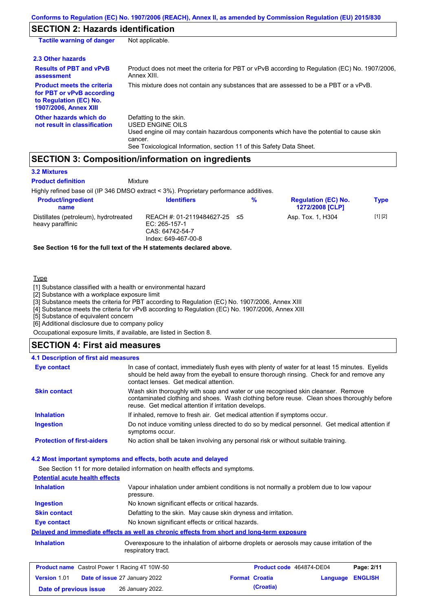# **SECTION 2: Hazards identification**

| <b>Tactile warning of danger</b>                                                                                         | Not applicable.                                                                                                                                                                                                          |
|--------------------------------------------------------------------------------------------------------------------------|--------------------------------------------------------------------------------------------------------------------------------------------------------------------------------------------------------------------------|
| 2.3 Other hazards                                                                                                        |                                                                                                                                                                                                                          |
| <b>Results of PBT and vPvB</b><br>assessment                                                                             | Product does not meet the criteria for PBT or vPvB according to Regulation (EC) No. 1907/2006,<br>Annex XIII.                                                                                                            |
| <b>Product meets the criteria</b><br>for PBT or vPvB according<br>to Regulation (EC) No.<br><b>1907/2006, Annex XIII</b> | This mixture does not contain any substances that are assessed to be a PBT or a vPvB.                                                                                                                                    |
| Other hazards which do<br>not result in classification                                                                   | Defatting to the skin.<br>USED ENGINE OILS<br>Used engine oil may contain hazardous components which have the potential to cause skin<br>cancer.<br>See Toxicological Information, section 11 of this Safety Data Sheet. |

# **SECTION 3: Composition/information on ingredients**

**Mixture** 

### **3.2 Mixtures**

**Product definition**

Highly refined base oil (IP 346 DMSO extract < 3%). Proprietary performance additives.

| <b>Product/ingredient</b><br>name                         | <b>Identifiers</b>                                                                      | % | <b>Regulation (EC) No.</b><br><b>1272/2008 [CLP]</b> | <b>Type</b> |
|-----------------------------------------------------------|-----------------------------------------------------------------------------------------|---|------------------------------------------------------|-------------|
| Distillates (petroleum), hydrotreated<br>heavy paraffinic | REACH #: 01-2119484627-25 ≤5<br>EC: 265-157-1<br>CAS: 64742-54-7<br>Index: 649-467-00-8 |   | Asp. Tox. 1, H304                                    | [1] [2]     |

**See Section 16 for the full text of the H statements declared above.**

#### **Type**

[1] Substance classified with a health or environmental hazard

[2] Substance with a workplace exposure limit

[3] Substance meets the criteria for PBT according to Regulation (EC) No. 1907/2006, Annex XIII

[4] Substance meets the criteria for vPvB according to Regulation (EC) No. 1907/2006, Annex XIII

[5] Substance of equivalent concern

[6] Additional disclosure due to company policy

Occupational exposure limits, if available, are listed in Section 8.

# **SECTION 4: First aid measures**

### In case of contact, immediately flush eyes with plenty of water for at least 15 minutes. Eyelids should be held away from the eyeball to ensure thorough rinsing. Check for and remove any contact lenses. Get medical attention. **4.1 Description of first aid measures Eye contact Skin contact** Wash skin thoroughly with soap and water or use recognised skin cleanser. Remove

|                                   | contaminated clothing and shoes. Wash clothing before reuse. Clean shoes thoroughly before<br>reuse. Get medical attention if irritation develops. |
|-----------------------------------|----------------------------------------------------------------------------------------------------------------------------------------------------|
| <b>Inhalation</b>                 | If inhaled, remove to fresh air. Get medical attention if symptoms occur.                                                                          |
| <b>Ingestion</b>                  | Do not induce vomiting unless directed to do so by medical personnel. Get medical attention if<br>symptoms occur.                                  |
| <b>Protection of first-aiders</b> | No action shall be taken involving any personal risk or without suitable training.                                                                 |

### **4.2 Most important symptoms and effects, both acute and delayed**

See Section 11 for more detailed information on health effects and symptoms. **Potential acute health effects Inhalation** Vapour inhalation under ambient conditions is not normally a problem due to low vapour pressure. **Ingestion** No known significant effects or critical hazards. **Skin contact** Defatting to the skin. May cause skin dryness and irritation. **Eye contact** No known significant effects or critical hazards. **Delayed and immediate effects as well as chronic effects from short and long-term exposure Inhalation** Overexposure to the inhalation of airborne droplets or aerosols may cause irritation of the respiratory tract.

| <b>Product name</b> Castrol Power 1 Racing 4T 10W-50 |  | Product code 464874-DE04             |  | Page: 2/11            |                  |  |
|------------------------------------------------------|--|--------------------------------------|--|-----------------------|------------------|--|
| <b>Version 1.01</b>                                  |  | <b>Date of issue 27 January 2022</b> |  | <b>Format Croatia</b> | Language ENGLISH |  |
| Date of previous issue                               |  | 26 January 2022.                     |  | (Croatia)             |                  |  |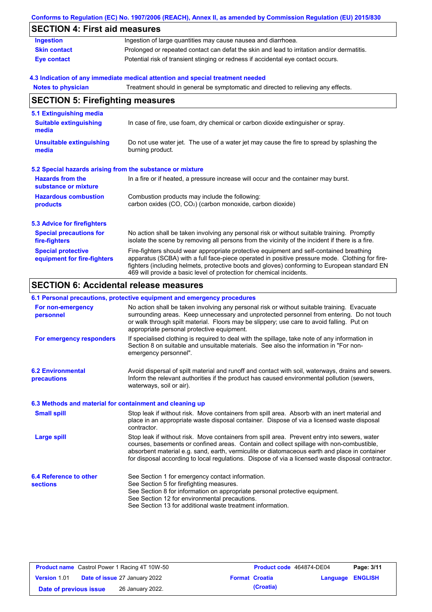|                                                           | Conforms to Regulation (EC) No. 1907/2006 (REACH), Annex II, as amended by Commission Regulation (EU) 2015/830                                                                                                                                                                                                                                                    |
|-----------------------------------------------------------|-------------------------------------------------------------------------------------------------------------------------------------------------------------------------------------------------------------------------------------------------------------------------------------------------------------------------------------------------------------------|
| <b>SECTION 4: First aid measures</b>                      |                                                                                                                                                                                                                                                                                                                                                                   |
| <b>Ingestion</b>                                          | Ingestion of large quantities may cause nausea and diarrhoea.                                                                                                                                                                                                                                                                                                     |
| <b>Skin contact</b>                                       | Prolonged or repeated contact can defat the skin and lead to irritation and/or dermatitis.                                                                                                                                                                                                                                                                        |
| <b>Eye contact</b>                                        | Potential risk of transient stinging or redness if accidental eye contact occurs.                                                                                                                                                                                                                                                                                 |
|                                                           | 4.3 Indication of any immediate medical attention and special treatment needed                                                                                                                                                                                                                                                                                    |
| <b>Notes to physician</b>                                 | Treatment should in general be symptomatic and directed to relieving any effects.                                                                                                                                                                                                                                                                                 |
| <b>SECTION 5: Firefighting measures</b>                   |                                                                                                                                                                                                                                                                                                                                                                   |
| 5.1 Extinguishing media                                   |                                                                                                                                                                                                                                                                                                                                                                   |
| <b>Suitable extinguishing</b><br>media                    | In case of fire, use foam, dry chemical or carbon dioxide extinguisher or spray.                                                                                                                                                                                                                                                                                  |
| <b>Unsuitable extinguishing</b><br>media                  | Do not use water jet. The use of a water jet may cause the fire to spread by splashing the<br>burning product.                                                                                                                                                                                                                                                    |
| 5.2 Special hazards arising from the substance or mixture |                                                                                                                                                                                                                                                                                                                                                                   |
| <b>Hazards from the</b><br>substance or mixture           | In a fire or if heated, a pressure increase will occur and the container may burst.                                                                                                                                                                                                                                                                               |
| <b>Hazardous combustion</b><br>products                   | Combustion products may include the following:<br>carbon oxides (CO, CO <sub>2</sub> ) (carbon monoxide, carbon dioxide)                                                                                                                                                                                                                                          |
| <b>5.3 Advice for firefighters</b>                        |                                                                                                                                                                                                                                                                                                                                                                   |
| <b>Special precautions for</b><br>fire-fighters           | No action shall be taken involving any personal risk or without suitable training. Promptly<br>isolate the scene by removing all persons from the vicinity of the incident if there is a fire.                                                                                                                                                                    |
| <b>Special protective</b><br>equipment for fire-fighters  | Fire-fighters should wear appropriate protective equipment and self-contained breathing<br>apparatus (SCBA) with a full face-piece operated in positive pressure mode. Clothing for fire-<br>fighters (including helmets, protective boots and gloves) conforming to European standard EN<br>469 will provide a basic level of protection for chemical incidents. |

# **SECTION 6: Accidental release measures**

# **6.1 Personal precautions, protective equipment and emergency procedures**

| For non-emergency<br>personnel                           | No action shall be taken involving any personal risk or without suitable training. Evacuate<br>surrounding areas. Keep unnecessary and unprotected personnel from entering. Do not touch<br>or walk through spilt material. Floors may be slippery; use care to avoid falling. Put on<br>appropriate personal protective equipment.                                                            |
|----------------------------------------------------------|------------------------------------------------------------------------------------------------------------------------------------------------------------------------------------------------------------------------------------------------------------------------------------------------------------------------------------------------------------------------------------------------|
| For emergency responders                                 | If specialised clothing is required to deal with the spillage, take note of any information in<br>Section 8 on suitable and unsuitable materials. See also the information in "For non-<br>emergency personnel".                                                                                                                                                                               |
| <b>6.2 Environmental</b><br>precautions                  | Avoid dispersal of spilt material and runoff and contact with soil, waterways, drains and sewers.<br>Inform the relevant authorities if the product has caused environmental pollution (sewers,<br>waterways, soil or air).                                                                                                                                                                    |
| 6.3 Methods and material for containment and cleaning up |                                                                                                                                                                                                                                                                                                                                                                                                |
| <b>Small spill</b>                                       | Stop leak if without risk. Move containers from spill area. Absorb with an inert material and<br>place in an appropriate waste disposal container. Dispose of via a licensed waste disposal<br>contractor.                                                                                                                                                                                     |
| Large spill                                              | Stop leak if without risk. Move containers from spill area. Prevent entry into sewers, water<br>courses, basements or confined areas. Contain and collect spillage with non-combustible,<br>absorbent material e.g. sand, earth, vermiculite or diatomaceous earth and place in container<br>for disposal according to local regulations. Dispose of via a licensed waste disposal contractor. |
| 6.4 Reference to other                                   | See Section 1 for emergency contact information.                                                                                                                                                                                                                                                                                                                                               |
| <b>sections</b>                                          | See Section 5 for firefighting measures.<br>See Section 8 for information on appropriate personal protective equipment.                                                                                                                                                                                                                                                                        |
|                                                          | See Section 12 for environmental precautions.                                                                                                                                                                                                                                                                                                                                                  |
|                                                          | See Section 13 for additional waste treatment information.                                                                                                                                                                                                                                                                                                                                     |

| <b>Product name</b> Castrol Power 1 Racing 4T 10W-50 |                                      | Product code 464874-DE04 | Page: 3/11            |                  |  |
|------------------------------------------------------|--------------------------------------|--------------------------|-----------------------|------------------|--|
| <b>Version 1.01</b>                                  | <b>Date of issue 27 January 2022</b> |                          | <b>Format Croatia</b> | Language ENGLISH |  |
| Date of previous issue                               | 26 January 2022.                     |                          | (Croatia)             |                  |  |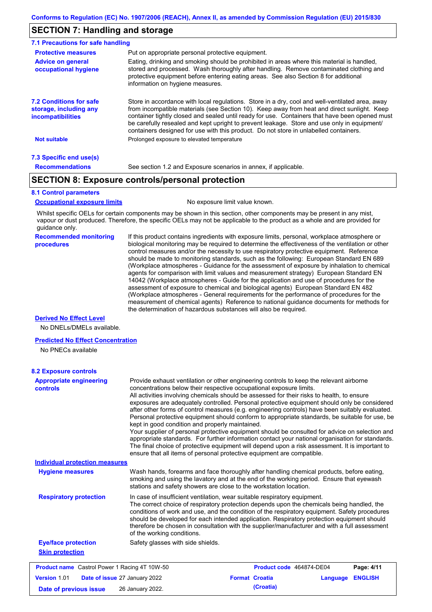# **SECTION 7: Handling and storage**

| 7.1 Precautions for safe handling                                                    |                                                                                                                                                                                                                                                                                                                                                                                                                                                                                          |
|--------------------------------------------------------------------------------------|------------------------------------------------------------------------------------------------------------------------------------------------------------------------------------------------------------------------------------------------------------------------------------------------------------------------------------------------------------------------------------------------------------------------------------------------------------------------------------------|
| <b>Protective measures</b>                                                           | Put on appropriate personal protective equipment.                                                                                                                                                                                                                                                                                                                                                                                                                                        |
| <b>Advice on general</b><br>occupational hygiene                                     | Eating, drinking and smoking should be prohibited in areas where this material is handled,<br>stored and processed. Wash thoroughly after handling. Remove contaminated clothing and<br>protective equipment before entering eating areas. See also Section 8 for additional<br>information on hygiene measures.                                                                                                                                                                         |
| <b>7.2 Conditions for safe</b><br>storage, including any<br><i>incompatibilities</i> | Store in accordance with local regulations. Store in a dry, cool and well-ventilated area, away<br>from incompatible materials (see Section 10). Keep away from heat and direct sunlight. Keep<br>container tightly closed and sealed until ready for use. Containers that have been opened must<br>be carefully resealed and kept upright to prevent leakage. Store and use only in equipment/<br>containers designed for use with this product. Do not store in unlabelled containers. |
| <b>Not suitable</b>                                                                  | Prolonged exposure to elevated temperature                                                                                                                                                                                                                                                                                                                                                                                                                                               |
| 7.3 Specific end use(s)                                                              |                                                                                                                                                                                                                                                                                                                                                                                                                                                                                          |
| <b>Recommendations</b>                                                               | See section 1.2 and Exposure scenarios in annex, if applicable.                                                                                                                                                                                                                                                                                                                                                                                                                          |

# **SECTION 8: Exposure controls/personal protection**

#### **8.1 Control parameters**

**Occupational exposure limits** No exposure limit value known.

Whilst specific OELs for certain components may be shown in this section, other components may be present in any mist, vapour or dust produced. Therefore, the specific OELs may not be applicable to the product as a whole and are provided for guidance only.

#### **Recommended monitoring procedures**

If this product contains ingredients with exposure limits, personal, workplace atmosphere or biological monitoring may be required to determine the effectiveness of the ventilation or other control measures and/or the necessity to use respiratory protective equipment. Reference should be made to monitoring standards, such as the following: European Standard EN 689 (Workplace atmospheres - Guidance for the assessment of exposure by inhalation to chemical agents for comparison with limit values and measurement strategy) European Standard EN 14042 (Workplace atmospheres - Guide for the application and use of procedures for the assessment of exposure to chemical and biological agents) European Standard EN 482 (Workplace atmospheres - General requirements for the performance of procedures for the measurement of chemical agents) Reference to national guidance documents for methods for the determination of hazardous substances will also be required.

### **Derived No Effect Level**

No DNELs/DMELs available.

#### **Predicted No Effect Concentration**

No PNECs available

| <b>8.2 Exposure controls</b>                         |                                                                                                                                                                                                                                                                                                                                                                                                                                                                                                                                                                                                                                                                                                                                                                                                                                                                                                                                                                                                         |  |  |  |
|------------------------------------------------------|---------------------------------------------------------------------------------------------------------------------------------------------------------------------------------------------------------------------------------------------------------------------------------------------------------------------------------------------------------------------------------------------------------------------------------------------------------------------------------------------------------------------------------------------------------------------------------------------------------------------------------------------------------------------------------------------------------------------------------------------------------------------------------------------------------------------------------------------------------------------------------------------------------------------------------------------------------------------------------------------------------|--|--|--|
| <b>Appropriate engineering</b><br>controls           | Provide exhaust ventilation or other engineering controls to keep the relevant airborne<br>concentrations below their respective occupational exposure limits.<br>All activities involving chemicals should be assessed for their risks to health, to ensure<br>exposures are adequately controlled. Personal protective equipment should only be considered<br>after other forms of control measures (e.g. engineering controls) have been suitably evaluated.<br>Personal protective equipment should conform to appropriate standards, be suitable for use, be<br>kept in good condition and properly maintained.<br>Your supplier of personal protective equipment should be consulted for advice on selection and<br>appropriate standards. For further information contact your national organisation for standards.<br>The final choice of protective equipment will depend upon a risk assessment. It is important to<br>ensure that all items of personal protective equipment are compatible. |  |  |  |
| <b>Individual protection measures</b>                |                                                                                                                                                                                                                                                                                                                                                                                                                                                                                                                                                                                                                                                                                                                                                                                                                                                                                                                                                                                                         |  |  |  |
| <b>Hygiene measures</b>                              | Wash hands, forearms and face thoroughly after handling chemical products, before eating,<br>smoking and using the lavatory and at the end of the working period. Ensure that eyewash<br>stations and safety showers are close to the workstation location.                                                                                                                                                                                                                                                                                                                                                                                                                                                                                                                                                                                                                                                                                                                                             |  |  |  |
| <b>Respiratory protection</b>                        | In case of insufficient ventilation, wear suitable respiratory equipment.<br>The correct choice of respiratory protection depends upon the chemicals being handled, the<br>conditions of work and use, and the condition of the respiratory equipment. Safety procedures<br>should be developed for each intended application. Respiratory protection equipment should<br>therefore be chosen in consultation with the supplier/manufacturer and with a full assessment<br>of the working conditions.                                                                                                                                                                                                                                                                                                                                                                                                                                                                                                   |  |  |  |
| <b>Eye/face protection</b>                           | Safety glasses with side shields.                                                                                                                                                                                                                                                                                                                                                                                                                                                                                                                                                                                                                                                                                                                                                                                                                                                                                                                                                                       |  |  |  |
| <b>Skin protection</b>                               |                                                                                                                                                                                                                                                                                                                                                                                                                                                                                                                                                                                                                                                                                                                                                                                                                                                                                                                                                                                                         |  |  |  |
| <b>Product name</b> Castrol Power 1 Racing 4T 10W-50 | Product code 464874-DE04<br>Page: 4/11                                                                                                                                                                                                                                                                                                                                                                                                                                                                                                                                                                                                                                                                                                                                                                                                                                                                                                                                                                  |  |  |  |
| Version 1.01                                         | <b>Format Croatia</b><br><b>ENGLISH</b><br>Date of issue 27 January 2022<br>Language                                                                                                                                                                                                                                                                                                                                                                                                                                                                                                                                                                                                                                                                                                                                                                                                                                                                                                                    |  |  |  |
| Date of previous issue                               | (Croatia)<br>26 January 2022.                                                                                                                                                                                                                                                                                                                                                                                                                                                                                                                                                                                                                                                                                                                                                                                                                                                                                                                                                                           |  |  |  |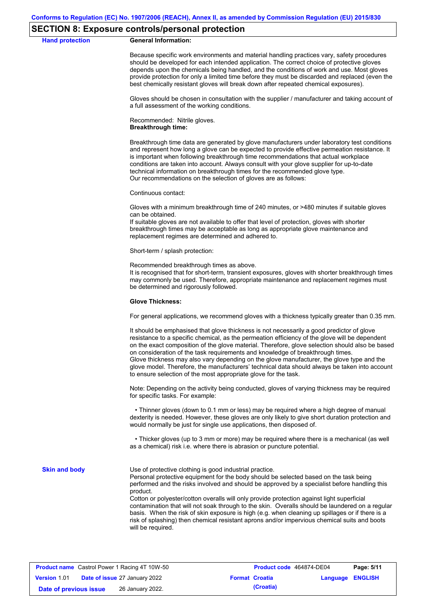# **SECTION 8: Exposure controls/personal protection**

#### **Hand protection General Information:**

Because specific work environments and material handling practices vary, safety procedures should be developed for each intended application. The correct choice of protective gloves depends upon the chemicals being handled, and the conditions of work and use. Most gloves provide protection for only a limited time before they must be discarded and replaced (even the best chemically resistant gloves will break down after repeated chemical exposures).

Gloves should be chosen in consultation with the supplier / manufacturer and taking account of a full assessment of the working conditions.

Recommended: Nitrile gloves. **Breakthrough time:**

Breakthrough time data are generated by glove manufacturers under laboratory test conditions and represent how long a glove can be expected to provide effective permeation resistance. It is important when following breakthrough time recommendations that actual workplace conditions are taken into account. Always consult with your glove supplier for up-to-date technical information on breakthrough times for the recommended glove type. Our recommendations on the selection of gloves are as follows:

Continuous contact:

Gloves with a minimum breakthrough time of 240 minutes, or >480 minutes if suitable gloves can be obtained.

If suitable gloves are not available to offer that level of protection, gloves with shorter breakthrough times may be acceptable as long as appropriate glove maintenance and replacement regimes are determined and adhered to.

Short-term / splash protection:

Recommended breakthrough times as above.

It is recognised that for short-term, transient exposures, gloves with shorter breakthrough times may commonly be used. Therefore, appropriate maintenance and replacement regimes must be determined and rigorously followed.

#### **Glove Thickness:**

For general applications, we recommend gloves with a thickness typically greater than 0.35 mm.

It should be emphasised that glove thickness is not necessarily a good predictor of glove resistance to a specific chemical, as the permeation efficiency of the glove will be dependent on the exact composition of the glove material. Therefore, glove selection should also be based on consideration of the task requirements and knowledge of breakthrough times. Glove thickness may also vary depending on the glove manufacturer, the glove type and the glove model. Therefore, the manufacturers' technical data should always be taken into account to ensure selection of the most appropriate glove for the task.

Note: Depending on the activity being conducted, gloves of varying thickness may be required for specific tasks. For example:

 • Thinner gloves (down to 0.1 mm or less) may be required where a high degree of manual dexterity is needed. However, these gloves are only likely to give short duration protection and would normally be just for single use applications, then disposed of.

 • Thicker gloves (up to 3 mm or more) may be required where there is a mechanical (as well as a chemical) risk i.e. where there is abrasion or puncture potential.

**Skin and body**

Use of protective clothing is good industrial practice.

Personal protective equipment for the body should be selected based on the task being performed and the risks involved and should be approved by a specialist before handling this product.

Cotton or polyester/cotton overalls will only provide protection against light superficial contamination that will not soak through to the skin. Overalls should be laundered on a regular basis. When the risk of skin exposure is high (e.g. when cleaning up spillages or if there is a risk of splashing) then chemical resistant aprons and/or impervious chemical suits and boots will be required.

| <b>Product name</b> Castrol Power 1 Racing 4T 10W-50 |  |                                      | Product code 464874-DE04 | Page: 5/11            |                         |  |
|------------------------------------------------------|--|--------------------------------------|--------------------------|-----------------------|-------------------------|--|
| <b>Version 1.01</b>                                  |  | <b>Date of issue 27 January 2022</b> |                          | <b>Format Croatia</b> | <b>Language ENGLISH</b> |  |
| Date of previous issue                               |  | 26 January 2022.                     |                          | (Croatia)             |                         |  |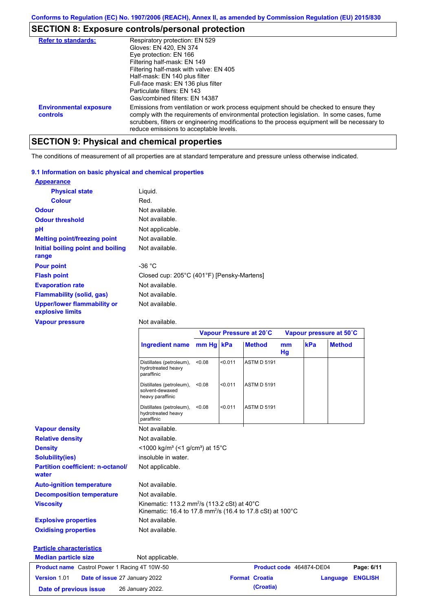# **SECTION 8: Exposure controls/personal protection**

| <b>Refer to standards:</b>                | Respiratory protection: EN 529<br>Gloves: EN 420, EN 374<br>Eye protection: EN 166<br>Filtering half-mask: EN 149<br>Filtering half-mask with valve: EN 405<br>Half-mask: EN 140 plus filter<br>Full-face mask: EN 136 plus filter<br>Particulate filters: FN 143<br>Gas/combined filters: EN 14387                           |
|-------------------------------------------|-------------------------------------------------------------------------------------------------------------------------------------------------------------------------------------------------------------------------------------------------------------------------------------------------------------------------------|
| <b>Environmental exposure</b><br>controls | Emissions from ventilation or work process equipment should be checked to ensure they<br>comply with the requirements of environmental protection legislation. In some cases, fume<br>scrubbers, filters or engineering modifications to the process equipment will be necessary to<br>reduce emissions to acceptable levels. |

# **SECTION 9: Physical and chemical properties**

The conditions of measurement of all properties are at standard temperature and pressure unless otherwise indicated.

## **9.1 Information on basic physical and chemical properties**

| <b>Appearance</b>                                      |                                            |
|--------------------------------------------------------|--------------------------------------------|
| <b>Physical state</b>                                  | Liquid.                                    |
| <b>Colour</b>                                          | Red.                                       |
| <b>Odour</b>                                           | Not available.                             |
| <b>Odour threshold</b>                                 | Not available.                             |
| рH                                                     | Not applicable.                            |
| <b>Melting point/freezing point</b>                    | Not available.                             |
| Initial boiling point and boiling<br>range             | Not available.                             |
| <b>Pour point</b>                                      | -36 $^{\circ}$ C                           |
| <b>Flash point</b>                                     | Closed cup: 205°C (401°F) [Pensky-Martens] |
| <b>Evaporation rate</b>                                | Not available.                             |
| <b>Flammability (solid, gas)</b>                       | Not available.                             |
| <b>Upper/lower flammability or</b><br>explosive limits | Not available.                             |

### **Vapour pressure**

Not available.

|                                                      |                                                                                                                                    |        |         | Vapour Pressure at 20°C |          | Vapour pressure at 50°C  |               |                |
|------------------------------------------------------|------------------------------------------------------------------------------------------------------------------------------------|--------|---------|-------------------------|----------|--------------------------|---------------|----------------|
|                                                      | Ingredient name mm Hg kPa                                                                                                          |        |         | <b>Method</b>           | mm<br>Hg | kPa                      | <b>Method</b> |                |
|                                                      | Distillates (petroleum),<br>hydrotreated heavy<br>paraffinic                                                                       | < 0.08 | < 0.011 | <b>ASTM D 5191</b>      |          |                          |               |                |
|                                                      | Distillates (petroleum),<br>solvent-dewaxed<br>heavy paraffinic                                                                    | < 0.08 | < 0.011 | <b>ASTM D 5191</b>      |          |                          |               |                |
|                                                      | Distillates (petroleum),<br>hydrotreated heavy<br>paraffinic                                                                       | < 0.08 | < 0.011 | <b>ASTM D 5191</b>      |          |                          |               |                |
| <b>Vapour density</b>                                | Not available.                                                                                                                     |        |         |                         |          |                          |               |                |
| <b>Relative density</b>                              | Not available.                                                                                                                     |        |         |                         |          |                          |               |                |
| <b>Density</b>                                       | <1000 kg/m <sup>3</sup> (<1 g/cm <sup>3</sup> ) at 15 <sup>°</sup> C                                                               |        |         |                         |          |                          |               |                |
| <b>Solubility(ies)</b>                               | insoluble in water.                                                                                                                |        |         |                         |          |                          |               |                |
| <b>Partition coefficient: n-octanol/</b><br>water    | Not applicable.                                                                                                                    |        |         |                         |          |                          |               |                |
| <b>Auto-ignition temperature</b>                     | Not available.                                                                                                                     |        |         |                         |          |                          |               |                |
| <b>Decomposition temperature</b>                     | Not available.                                                                                                                     |        |         |                         |          |                          |               |                |
| <b>Viscosity</b>                                     | Kinematic: 113.2 mm <sup>2</sup> /s (113.2 cSt) at 40°C<br>Kinematic: 16.4 to 17.8 mm <sup>2</sup> /s (16.4 to 17.8 cSt) at 100 °C |        |         |                         |          |                          |               |                |
| <b>Explosive properties</b>                          | Not available.                                                                                                                     |        |         |                         |          |                          |               |                |
| <b>Oxidising properties</b>                          | Not available.                                                                                                                     |        |         |                         |          |                          |               |                |
| <b>Particle characteristics</b>                      |                                                                                                                                    |        |         |                         |          |                          |               |                |
| <b>Median particle size</b>                          | Not applicable.                                                                                                                    |        |         |                         |          |                          |               |                |
| <b>Product name</b> Castrol Power 1 Racing 4T 10W-50 |                                                                                                                                    |        |         |                         |          | Product code 464874-DE04 |               | Page: 6/11     |
| Version 1.01<br>Date of issue 27 January 2022        |                                                                                                                                    |        |         | <b>Format Croatia</b>   |          |                          | Language      | <b>ENGLISH</b> |
| Date of previous issue                               | 26 January 2022.                                                                                                                   |        |         | (Croatia)               |          |                          |               |                |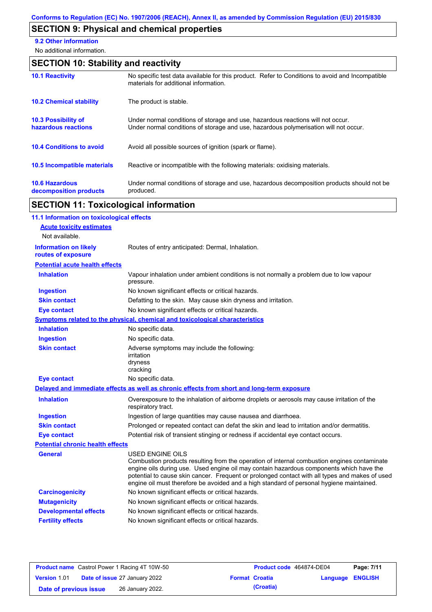# **SECTION 9: Physical and chemical properties**

**9.2 Other information**

No additional information.

# **SECTION 10: Stability and reactivity**

| <b>10.1 Reactivity</b>                            | No specific test data available for this product. Refer to Conditions to avoid and Incompatible<br>materials for additional information.                                |
|---------------------------------------------------|-------------------------------------------------------------------------------------------------------------------------------------------------------------------------|
| <b>10.2 Chemical stability</b>                    | The product is stable.                                                                                                                                                  |
| <b>10.3 Possibility of</b><br>hazardous reactions | Under normal conditions of storage and use, hazardous reactions will not occur.<br>Under normal conditions of storage and use, hazardous polymerisation will not occur. |
| <b>10.4 Conditions to avoid</b>                   | Avoid all possible sources of ignition (spark or flame).                                                                                                                |
| <b>10.5 Incompatible materials</b>                | Reactive or incompatible with the following materials: oxidising materials.                                                                                             |
| <b>10.6 Hazardous</b><br>decomposition products   | Under normal conditions of storage and use, hazardous decomposition products should not be<br>produced.                                                                 |

# **SECTION 11: Toxicological information**

| 11.1 Information on toxicological effects          |                                                                                                                                                                                                                                                                                                                                                                                                                 |
|----------------------------------------------------|-----------------------------------------------------------------------------------------------------------------------------------------------------------------------------------------------------------------------------------------------------------------------------------------------------------------------------------------------------------------------------------------------------------------|
| <b>Acute toxicity estimates</b>                    |                                                                                                                                                                                                                                                                                                                                                                                                                 |
| Not available.                                     |                                                                                                                                                                                                                                                                                                                                                                                                                 |
| <b>Information on likely</b><br>routes of exposure | Routes of entry anticipated: Dermal, Inhalation.                                                                                                                                                                                                                                                                                                                                                                |
| <b>Potential acute health effects</b>              |                                                                                                                                                                                                                                                                                                                                                                                                                 |
| <b>Inhalation</b>                                  | Vapour inhalation under ambient conditions is not normally a problem due to low vapour<br>pressure.                                                                                                                                                                                                                                                                                                             |
| <b>Ingestion</b>                                   | No known significant effects or critical hazards.                                                                                                                                                                                                                                                                                                                                                               |
| <b>Skin contact</b>                                | Defatting to the skin. May cause skin dryness and irritation.                                                                                                                                                                                                                                                                                                                                                   |
| <b>Eye contact</b>                                 | No known significant effects or critical hazards.                                                                                                                                                                                                                                                                                                                                                               |
|                                                    | <b>Symptoms related to the physical, chemical and toxicological characteristics</b>                                                                                                                                                                                                                                                                                                                             |
| <b>Inhalation</b>                                  | No specific data.                                                                                                                                                                                                                                                                                                                                                                                               |
| <b>Ingestion</b>                                   | No specific data.                                                                                                                                                                                                                                                                                                                                                                                               |
| <b>Skin contact</b>                                | Adverse symptoms may include the following:<br>irritation<br>dryness<br>cracking                                                                                                                                                                                                                                                                                                                                |
| <b>Eye contact</b>                                 | No specific data.                                                                                                                                                                                                                                                                                                                                                                                               |
|                                                    | Delayed and immediate effects as well as chronic effects from short and long-term exposure                                                                                                                                                                                                                                                                                                                      |
| <b>Inhalation</b>                                  | Overexposure to the inhalation of airborne droplets or aerosols may cause irritation of the<br>respiratory tract.                                                                                                                                                                                                                                                                                               |
| <b>Ingestion</b>                                   | Ingestion of large quantities may cause nausea and diarrhoea.                                                                                                                                                                                                                                                                                                                                                   |
| <b>Skin contact</b>                                | Prolonged or repeated contact can defat the skin and lead to irritation and/or dermatitis.                                                                                                                                                                                                                                                                                                                      |
| <b>Eye contact</b>                                 | Potential risk of transient stinging or redness if accidental eye contact occurs.                                                                                                                                                                                                                                                                                                                               |
| <b>Potential chronic health effects</b>            |                                                                                                                                                                                                                                                                                                                                                                                                                 |
| General                                            | <b>USED ENGINE OILS</b><br>Combustion products resulting from the operation of internal combustion engines contaminate<br>engine oils during use. Used engine oil may contain hazardous components which have the<br>potential to cause skin cancer. Frequent or prolonged contact with all types and makes of used<br>engine oil must therefore be avoided and a high standard of personal hygiene maintained. |
| <b>Carcinogenicity</b>                             | No known significant effects or critical hazards.                                                                                                                                                                                                                                                                                                                                                               |
| <b>Mutagenicity</b>                                | No known significant effects or critical hazards.                                                                                                                                                                                                                                                                                                                                                               |
| <b>Developmental effects</b>                       | No known significant effects or critical hazards.                                                                                                                                                                                                                                                                                                                                                               |
| <b>Fertility effects</b>                           | No known significant effects or critical hazards.                                                                                                                                                                                                                                                                                                                                                               |
|                                                    |                                                                                                                                                                                                                                                                                                                                                                                                                 |

|                        | <b>Product name</b> Castrol Power 1 Racing 4T 10W-50 |                       | <b>Product code</b> 464874-DE04 |                         | Page: 7/11 |
|------------------------|------------------------------------------------------|-----------------------|---------------------------------|-------------------------|------------|
| <b>Version 1.01</b>    | <b>Date of issue 27 January 2022</b>                 | <b>Format Croatia</b> |                                 | <b>Language ENGLISH</b> |            |
| Date of previous issue | 26 January 2022.                                     |                       | (Croatia)                       |                         |            |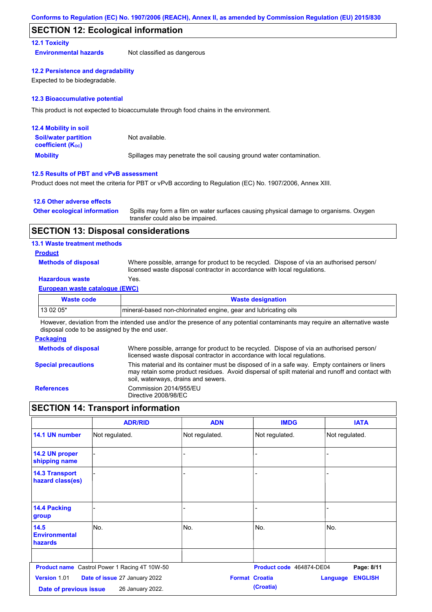# **SECTION 12: Ecological information**

# **12.1 Toxicity**

**Environmental hazards** Not classified as dangerous

### **12.2 Persistence and degradability**

Expected to be biodegradable.

### **12.3 Bioaccumulative potential**

This product is not expected to bioaccumulate through food chains in the environment.

| <b>12.4 Mobility in soil</b>                                  |                                                                      |
|---------------------------------------------------------------|----------------------------------------------------------------------|
| <b>Soil/water partition</b><br>coefficient (K <sub>oc</sub> ) | Not available.                                                       |
| <b>Mobility</b>                                               | Spillages may penetrate the soil causing ground water contamination. |

### **12.5 Results of PBT and vPvB assessment**

Product does not meet the criteria for PBT or vPvB according to Regulation (EC) No. 1907/2006, Annex XIII.

### **12.6 Other adverse effects**

| <b>Other ecological information</b> | Spills may form a film on water surfaces causing physical damage to organisms. Oxygen |
|-------------------------------------|---------------------------------------------------------------------------------------|
|                                     | transfer could also be impaired.                                                      |

# **SECTION 13: Disposal considerations**

### **13.1 Waste treatment methods**

### **Product**

**Methods of disposal**

Where possible, arrange for product to be recycled. Dispose of via an authorised person/ licensed waste disposal contractor in accordance with local regulations.

# **Hazardous waste** Yes.

### **European waste catalogue (EWC)**

| Waste code | <b>Waste designation</b>                                        |
|------------|-----------------------------------------------------------------|
| 13 02 05*  | mineral-based non-chlorinated engine, gear and lubricating oils |

However, deviation from the intended use and/or the presence of any potential contaminants may require an alternative waste disposal code to be assigned by the end user.

### **Packaging**

| <b>Methods of disposal</b> | Where possible, arrange for product to be recycled. Dispose of via an authorised person/<br>licensed waste disposal contractor in accordance with local regulations.                                                                    |
|----------------------------|-----------------------------------------------------------------------------------------------------------------------------------------------------------------------------------------------------------------------------------------|
| <b>Special precautions</b> | This material and its container must be disposed of in a safe way. Empty containers or liners<br>may retain some product residues. Avoid dispersal of spilt material and runoff and contact with<br>soil, waterways, drains and sewers. |
| <b>References</b>          | Commission 2014/955/EU<br>Directive 2008/98/EC                                                                                                                                                                                          |

# **SECTION 14: Transport information**

|                                           | <b>ADR/RID</b>                                       | <b>ADN</b>     | <b>IMDG</b>                        | <b>IATA</b>                       |
|-------------------------------------------|------------------------------------------------------|----------------|------------------------------------|-----------------------------------|
| 14.1 UN number                            | Not regulated.                                       | Not regulated. | Not regulated.                     | Not regulated.                    |
| 14.2 UN proper<br>shipping name           |                                                      | -              |                                    |                                   |
| <b>14.3 Transport</b><br>hazard class(es) |                                                      |                |                                    |                                   |
| <b>14.4 Packing</b><br>group              |                                                      |                |                                    |                                   |
| 14.5<br><b>Environmental</b><br>hazards   | No.                                                  | No.            | No.                                | No.                               |
|                                           | <b>Product name</b> Castrol Power 1 Racing 4T 10W-50 |                | Product code 464874-DE04           | Page: 8/11                        |
| Version 1.01<br>Date of previous issue    | Date of issue 27 January 2022<br>26 January 2022.    |                | <b>Format Croatia</b><br>(Croatia) | <b>ENGLISH</b><br><b>Language</b> |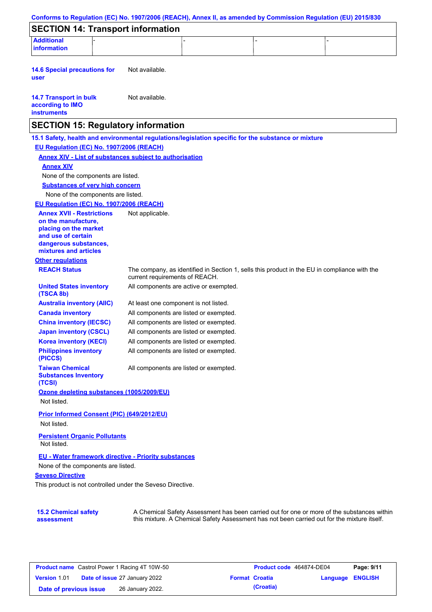| <b>Additional</b><br><b>information</b>                                                             |                                       |                                        |                                                                                              |
|-----------------------------------------------------------------------------------------------------|---------------------------------------|----------------------------------------|----------------------------------------------------------------------------------------------|
|                                                                                                     |                                       |                                        |                                                                                              |
| <b>14.6 Special precautions for</b><br>user                                                         | Not available.                        |                                        |                                                                                              |
| <b>14.7 Transport in bulk</b><br>according to IMO<br><b>instruments</b>                             | Not available.                        |                                        |                                                                                              |
| <b>SECTION 15: Regulatory information</b>                                                           |                                       |                                        |                                                                                              |
| 15.1 Safety, health and environmental regulations/legislation specific for the substance or mixture |                                       |                                        |                                                                                              |
| EU Regulation (EC) No. 1907/2006 (REACH)                                                            |                                       |                                        |                                                                                              |
| <b>Annex XIV - List of substances subject to authorisation</b><br><b>Annex XIV</b>                  |                                       |                                        |                                                                                              |
| None of the components are listed.                                                                  |                                       |                                        |                                                                                              |
| <b>Substances of very high concern</b>                                                              |                                       |                                        |                                                                                              |
| None of the components are listed.                                                                  |                                       |                                        |                                                                                              |
| EU Regulation (EC) No. 1907/2006 (REACH)                                                            |                                       |                                        |                                                                                              |
| <b>Annex XVII - Restrictions</b>                                                                    | Not applicable.                       |                                        |                                                                                              |
| on the manufacture.<br>placing on the market                                                        |                                       |                                        |                                                                                              |
| and use of certain<br>dangerous substances,<br>mixtures and articles                                |                                       |                                        |                                                                                              |
| <b>Other regulations</b>                                                                            |                                       |                                        |                                                                                              |
| <b>REACH Status</b>                                                                                 | current requirements of REACH.        |                                        | The company, as identified in Section 1, sells this product in the EU in compliance with the |
| <b>United States inventory</b><br>(TSCA 8b)                                                         |                                       | All components are active or exempted. |                                                                                              |
| <b>Australia inventory (AIIC)</b>                                                                   | At least one component is not listed. |                                        |                                                                                              |
| <b>Canada inventory</b>                                                                             |                                       | All components are listed or exempted. |                                                                                              |
| <b>China inventory (IECSC)</b>                                                                      |                                       | All components are listed or exempted. |                                                                                              |
| <b>Japan inventory (CSCL)</b>                                                                       |                                       | All components are listed or exempted. |                                                                                              |
| <b>Korea inventory (KECI)</b>                                                                       |                                       | All components are listed or exempted. |                                                                                              |
| <b>Philippines inventory</b><br>(PICCS)                                                             |                                       | All components are listed or exempted. |                                                                                              |
| <b>Taiwan Chemical</b><br><b>Substances Inventory</b><br>(TCSI)                                     |                                       | All components are listed or exempted. |                                                                                              |
| Ozone depleting substances (1005/2009/EU)<br>Not listed.                                            |                                       |                                        |                                                                                              |
| Prior Informed Consent (PIC) (649/2012/EU)<br>Not listed.                                           |                                       |                                        |                                                                                              |
| <b>Persistent Organic Pollutants</b><br>Not listed.                                                 |                                       |                                        |                                                                                              |
| EU - Water framework directive - Priority substances                                                |                                       |                                        |                                                                                              |
| None of the components are listed.<br><b>Seveso Directive</b>                                       |                                       |                                        |                                                                                              |
| This product is not controlled under the Seveso Directive.                                          |                                       |                                        |                                                                                              |

| <b>Product name</b> Castrol Power 1 Racing 4T 10W-50 |  |                                      | Product code 464874-DE04 |                       | Page: 9/11       |  |
|------------------------------------------------------|--|--------------------------------------|--------------------------|-----------------------|------------------|--|
| <b>Version 1.01</b>                                  |  | <b>Date of issue 27 January 2022</b> |                          | <b>Format Croatia</b> | Language ENGLISH |  |
| Date of previous issue                               |  | 26 January 2022.                     |                          | (Croatia)             |                  |  |

this mixture. A Chemical Safety Assessment has not been carried out for the mixture itself.

**assessment**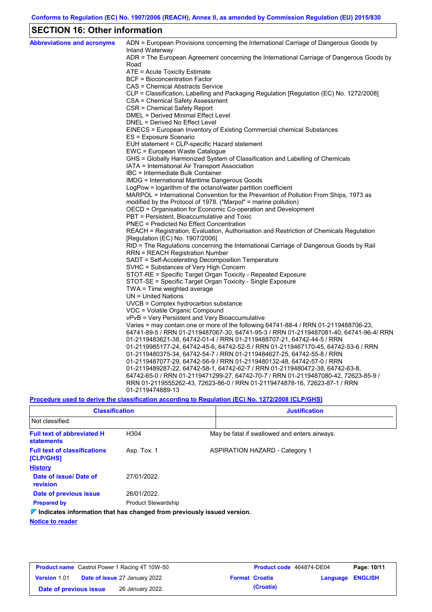# **SECTION 16: Other information**

| <b>Abbreviations and acronyms</b> | ADN = European Provisions concerning the International Carriage of Dangerous Goods by<br>Inland Waterway |
|-----------------------------------|----------------------------------------------------------------------------------------------------------|
|                                   | ADR = The European Agreement concerning the International Carriage of Dangerous Goods by<br>Road         |
|                                   | ATE = Acute Toxicity Estimate                                                                            |
|                                   | <b>BCF</b> = Bioconcentration Factor                                                                     |
|                                   | CAS = Chemical Abstracts Service                                                                         |
|                                   | CLP = Classification, Labelling and Packaging Regulation [Regulation (EC) No. 1272/2008]                 |
|                                   | CSA = Chemical Safety Assessment                                                                         |
|                                   | CSR = Chemical Safety Report                                                                             |
|                                   | <b>DMEL = Derived Minimal Effect Level</b>                                                               |
|                                   | DNEL = Derived No Effect Level                                                                           |
|                                   | EINECS = European Inventory of Existing Commercial chemical Substances                                   |
|                                   | ES = Exposure Scenario                                                                                   |
|                                   | EUH statement = CLP-specific Hazard statement                                                            |
|                                   | EWC = European Waste Catalogue                                                                           |
|                                   | GHS = Globally Harmonized System of Classification and Labelling of Chemicals                            |
|                                   | IATA = International Air Transport Association                                                           |
|                                   | IBC = Intermediate Bulk Container                                                                        |
|                                   | IMDG = International Maritime Dangerous Goods                                                            |
|                                   | LogPow = logarithm of the octanol/water partition coefficient                                            |
|                                   | MARPOL = International Convention for the Prevention of Pollution From Ships, 1973 as                    |
|                                   | modified by the Protocol of 1978. ("Marpol" = marine pollution)                                          |
|                                   | OECD = Organisation for Economic Co-operation and Development                                            |
|                                   | PBT = Persistent, Bioaccumulative and Toxic                                                              |
|                                   | <b>PNEC</b> = Predicted No Effect Concentration                                                          |
|                                   | REACH = Registration, Evaluation, Authorisation and Restriction of Chemicals Regulation                  |
|                                   | [Regulation (EC) No. 1907/2006]                                                                          |
|                                   | RID = The Regulations concerning the International Carriage of Dangerous Goods by Rail                   |
|                                   | <b>RRN = REACH Registration Number</b><br>SADT = Self-Accelerating Decomposition Temperature             |
|                                   | SVHC = Substances of Very High Concern                                                                   |
|                                   | STOT-RE = Specific Target Organ Toxicity - Repeated Exposure                                             |
|                                   | STOT-SE = Specific Target Organ Toxicity - Single Exposure                                               |
|                                   | TWA = Time weighted average                                                                              |
|                                   | $UN = United Nations$                                                                                    |
|                                   | $UVCB = Complex\;hydrocarbon\; substance$                                                                |
|                                   | VOC = Volatile Organic Compound                                                                          |
|                                   | vPvB = Very Persistent and Very Bioaccumulative                                                          |
|                                   | Varies = may contain one or more of the following $64741-88-4$ / RRN 01-2119488706-23,                   |
|                                   | 64741-89-5 / RRN 01-2119487067-30, 64741-95-3 / RRN 01-2119487081-40, 64741-96-4/ RRN                    |
|                                   | 01-2119483621-38, 64742-01-4 / RRN 01-2119488707-21, 64742-44-5 / RRN                                    |
|                                   | 01-2119985177-24, 64742-45-6, 64742-52-5 / RRN 01-2119467170-45, 64742-53-6 / RRN                        |
|                                   | 01-2119480375-34, 64742-54-7 / RRN 01-2119484627-25, 64742-55-8 / RRN                                    |
|                                   | 01-2119487077-29, 64742-56-9 / RRN 01-2119480132-48, 64742-57-0 / RRN                                    |
|                                   | 01-2119489287-22, 64742-58-1, 64742-62-7 / RRN 01-2119480472-38, 64742-63-8,                             |
|                                   | 64742-65-0 / RRN 01-2119471299-27, 64742-70-7 / RRN 01-2119487080-42, 72623-85-9 /                       |
|                                   | RRN 01-2119555262-43, 72623-86-0 / RRN 01-2119474878-16, 72623-87-1 / RRN                                |
|                                   | 01-2119474889-13                                                                                         |
|                                   |                                                                                                          |

**Procedure used to derive the classification according to Regulation (EC) No. 1272/2008 [CLP/GHS]**

| <b>Classification</b>                                                           |                            | <b>Justification</b>                          |
|---------------------------------------------------------------------------------|----------------------------|-----------------------------------------------|
| Not classified.                                                                 |                            |                                               |
| <b>Full text of abbreviated H</b><br><b>statements</b>                          | H304                       | May be fatal if swallowed and enters airways. |
| <b>Full text of classifications</b><br><b>[CLP/GHS]</b>                         | Asp. Tox. 1                | <b>ASPIRATION HAZARD - Category 1</b>         |
| <b>History</b>                                                                  |                            |                                               |
| Date of issue/Date of<br>revision                                               | 27/01/2022.                |                                               |
| Date of previous issue                                                          | 26/01/2022.                |                                               |
| <b>Prepared by</b>                                                              | <b>Product Stewardship</b> |                                               |
| $\nabla$ Indicates information that has changed from previously issued version. |                            |                                               |

**Notice to reader**

| <b>Product name</b> Castrol Power 1 Racing 4T 10W-50 |  |                                      | Product code 464874-DE04 |                       | Page: 10/11      |  |
|------------------------------------------------------|--|--------------------------------------|--------------------------|-----------------------|------------------|--|
| <b>Version 1.01</b>                                  |  | <b>Date of issue 27 January 2022</b> |                          | <b>Format Croatia</b> | Language ENGLISH |  |
| Date of previous issue                               |  | 26 January 2022.                     |                          | (Croatia)             |                  |  |